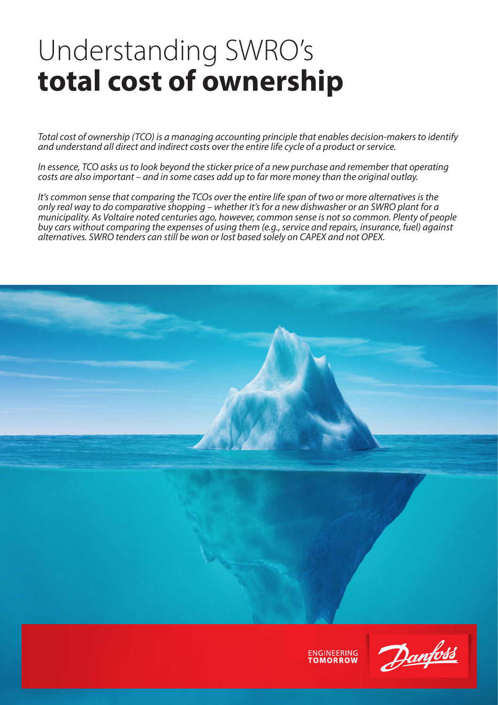# Understanding SWRO's **total cost of ownership**

*Total cost of ownership (TCO) is a managing accounting principle that enables decision-makers to identify and understand all direct and indirect costs over the entire life cycle of a product or service.* 

*In essence, TCO asks us to look beyond the sticker price of a new purchase and remember that operating costs are also important – and in some cases add up to far more money than the original outlay.*

*It's common sense that comparing the TCOs over the entire life span of two or more alternatives is the only real way to do comparative shopping – whether it's for a new dishwasher or an SWRO plant for a municipality. As Voltaire noted centuries ago, however, common sense is not so common. Plenty of people buy cars without comparing the expenses of using them (e.g., service and repairs, insurance, fuel) against alternatives. SWRO tenders can still be won or lost based solely on CAPEX and not OPEX.*



**ENGINEERING** 

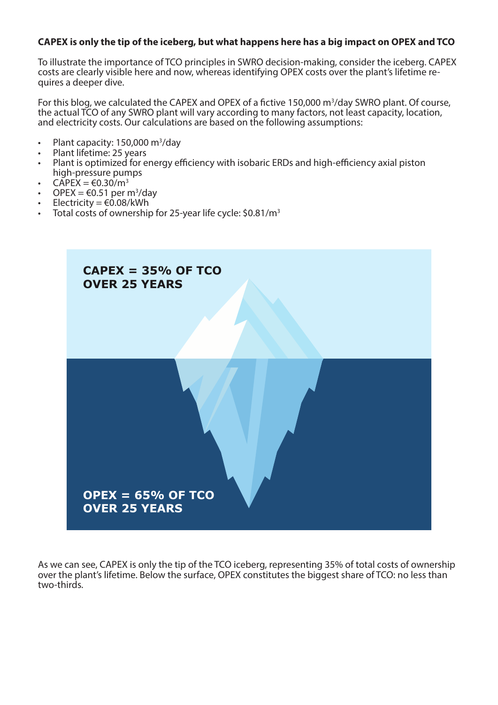## **CAPEX is only the tip of the iceberg, but what happens here has a big impact on OPEX and TCO**

To illustrate the importance of TCO principles in SWRO decision-making, consider the iceberg. CAPEX costs are clearly visible here and now, whereas identifying OPEX costs over the plant's lifetime re- quires a deeper dive.

For this blog, we calculated the CAPEX and OPEX of a fictive 150,000 m<sup>3</sup>/day SWRO plant. Of course, the actual TCO of any SWRO plant will vary according to many factors, not least capacity, location, and electricity costs. Our calculations are based on the following assumptions:

- Plant capacity: 150,000 m<sup>3</sup>/day
- Plant lifetime: 25 years
- Plant is optimized for energy efficiency with isobaric ERDs and high-efficiency axial piston high-pressure pumps
- $CAPEX = \text{\textsterling}0.30/m^3$
- OPEX =  $\text{\textsterling}0.51$  per m<sup>3</sup>/day
- Electricity =  $\epsilon$ 0.08/kWh
- Total costs of ownership for 25-year life cycle: \$0.81/m<sup>3</sup>



As we can see, CAPEX is only the tip of the TCO iceberg, representing 35% of total costs of ownership over the plant's lifetime. Below the surface, OPEX constitutes the biggest share of TCO: no less than two-thirds.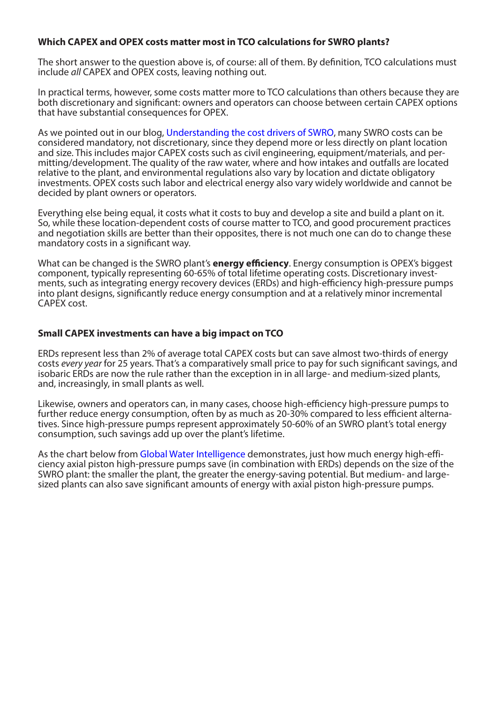## **Which CAPEX and OPEX costs matter most in TCO calculations for SWRO plants?**

The short answer to the question above is, of course: all of them. By definition, TCO calculations must include *all* CAPEX and OPEX costs, leaving nothing out.

In practical terms, however, some costs matter more to TCO calculations than others because they are both discretionary and significant: owners and operators can choose between certain CAPEX options that have substantial consequences for OPEX.

As we pointed out in our blog, [Understanding the cost drivers of SWRO](https://www.danfoss.com/en/about-danfoss/articles/dhs/understanding-the-cost-drivers-of-swro/), many SWRO costs can be considered mandatory, not discretionary, since they depend more or less directly on plant location and size. This includes major CAPEX costs such as civil engineering, equipment/materials, and permitting/development. The quality of the raw water, where and how intakes and outfalls are located relative to the plant, and environmental regulations also vary by location and dictate obligatory investments. OPEX costs such labor and electrical energy also vary widely worldwide and cannot be decided by plant owners or operators.

Everything else being equal, it costs what it costs to buy and develop a site and build a plant on it. So, while these location-dependent costs of course matter to TCO, and good procurement practices and negotiation skills are better than their opposites, there is not much one can do to change these mandatory costs in a significant way.

What can be changed is the SWRO plant's **energy efficiency**. Energy consumption is OPEX's biggest component, typically representing 60-65% of total lifetime operating costs. Discretionary investments, such as integrating energy recovery devices (ERDs) and high-efficiency high-pressure pumps into plant designs, significantly reduce energy consumption and at a relatively minor incremental CAPEX cost.

### **Small CAPEX investments can have a big impact on TCO**

ERDs represent less than 2% of average total CAPEX costs but can save almost two-thirds of energy costs *every year* for 25 years. That's a comparatively small price to pay for such significant savings, and isobaric ERDs are now the rule rather than the exception in in all large- and medium-sized plants, and, increasingly, in small plants as well.

Likewise, owners and operators can, in many cases, choose high-efficiency high-pressure pumps to further reduce energy consumption, often by as much as 20-30% compared to less efficient alternatives. Since high-pressure pumps represent approximately 50-60% of an SWRO plant's total energy consumption, such savings add up over the plant's lifetime.

As the chart below from [Global Water Intelligence](https://www.globalwaterintel.com/sponsored-content/unlocking-the-potential-of-sustainable-desalination-danfoss) demonstrates, just how much energy high-efficiency axial piston high-pressure pumps save (in combination with ERDs) depends on the size of the SWRO plant: the smaller the plant, the greater the energy-saving potential. But medium- and largesized plants can also save significant amounts of energy with axial piston high-pressure pumps.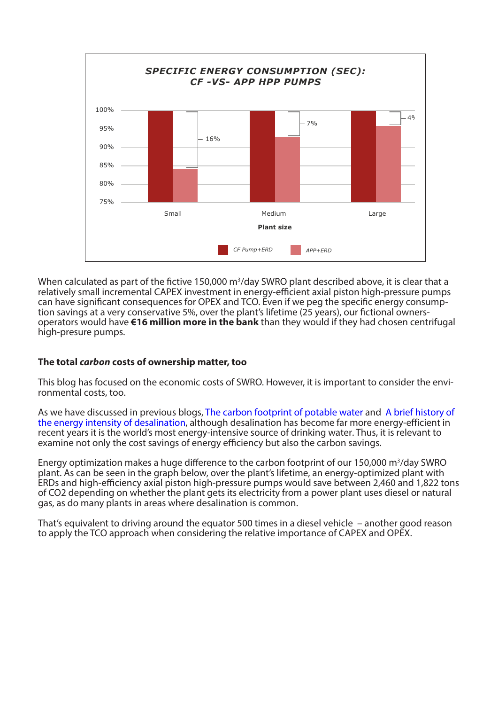

When calculated as part of the fictive 150,000  $m^3$ /day SWRO plant described above, it is clear that a relatively small incremental CAPEX investment in energy-efficient axial piston high-pressure pumps can have significant consequences for OPEX and TCO. Even if we peg the specific energy consumption savings at a very conservative 5%, over the plant's lifetime (25 years), our fictional ownersoperators would have **€16 million more in the bank** than they would if they had chosen centrifugal high-presure pumps.

## **The total** *carbon* **costs of ownership matter, too**

This blog has focused on the economic costs of SWRO. However, it is important to consider the environmental costs, too.

As we have discussed in previous blogs. The carbon footprint of potable water and A brief history of the energy intensity of desalination, although desalination has become far more energy-efficient in recent years it is the world's most energy-intensive source of drinking water. Thus, it is relevant to examine not only the cost savings of energy efficiency but also the carbon savings.

Energy optimization makes a huge difference to the carbon footprint of our 150,000 m<sup>3</sup>/day SWRO plant. As can be seen in the graph below, over the plant's lifetime, an energy-optimized plant with ERDs and high-efficiency axial piston high-pressure pumps would save between 2,460 and 1,822 tons of CO2 depending on whether the plant gets its electricity from a power plant uses diesel or natural gas, as do many plants in areas where desalination is common.

That's equivalent to driving around the equator 500 times in a diesel vehicle – another good reason to apply the TCO approach when considering the relative importance of CAPEX and OPEX.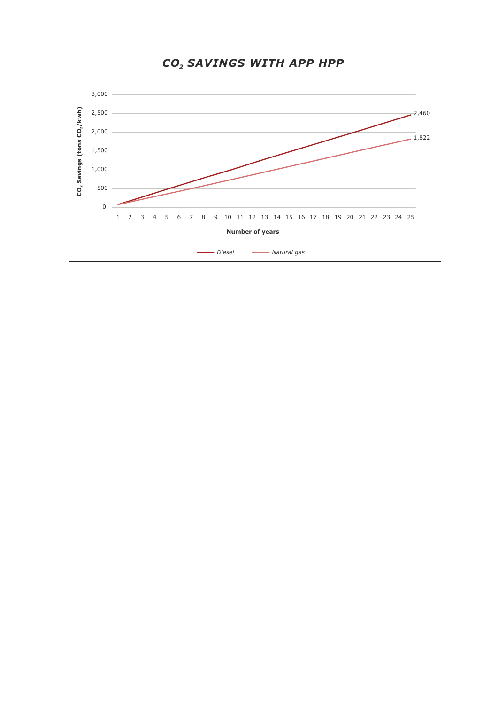